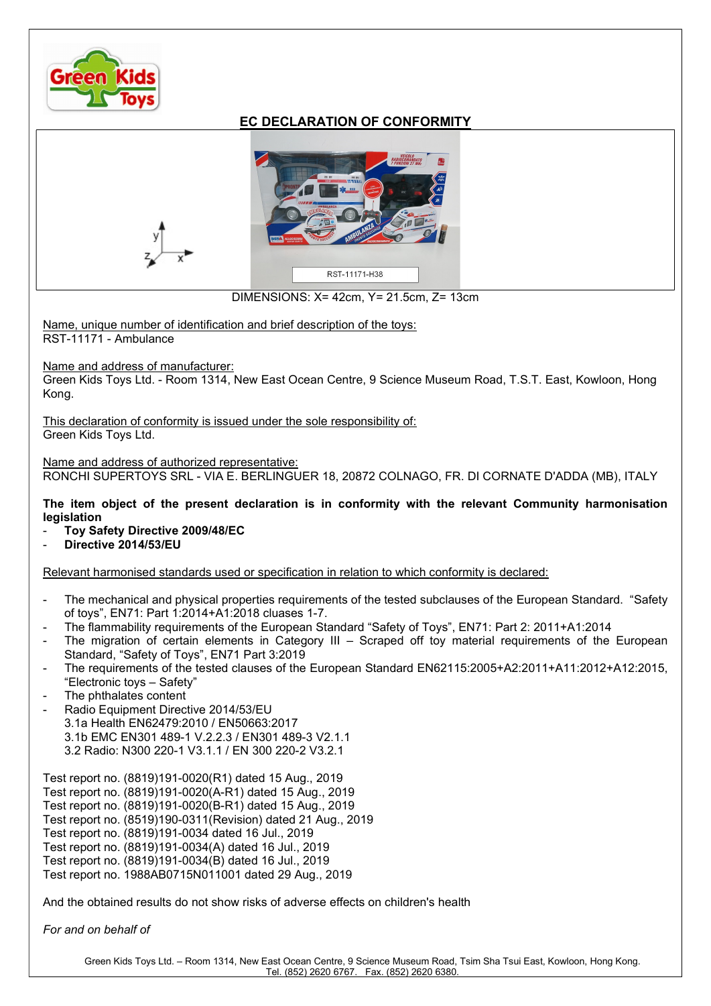

## EC DECLARATION OF CONFORMITY



DIMENSIONS: X= 42cm, Y= 21.5cm, Z= 13cm

Name, unique number of identification and brief description of the toys: RST-11171 - Ambulance

Name and address of manufacturer:

Green Kids Toys Ltd. - Room 1314, New East Ocean Centre, 9 Science Museum Road, T.S.T. East, Kowloon, Hong Kong.

This declaration of conformity is issued under the sole responsibility of: Green Kids Toys Ltd.

Name and address of authorized representative:

RONCHI SUPERTOYS SRL - VIA E. BERLINGUER 18, 20872 COLNAGO, FR. DI CORNATE D'ADDA (MB), ITALY

The item object of the present declaration is in conformity with the relevant Community harmonisation legislation

- Toy Safety Directive 2009/48/EC
- Directive 2014/53/EU

Relevant harmonised standards used or specification in relation to which conformity is declared:

- The mechanical and physical properties requirements of the tested subclauses of the European Standard. "Safety of toys", EN71: Part 1:2014+A1:2018 cluases 1-7.
- The flammability requirements of the European Standard "Safety of Toys", EN71: Part 2: 2011+A1:2014
- The migration of certain elements in Category III Scraped off toy material requirements of the European Standard, "Safety of Toys", EN71 Part 3:2019
- The requirements of the tested clauses of the European Standard EN62115:2005+A2:2011+A11:2012+A12:2015, "Electronic toys – Safety"
- The phthalates content
- Radio Equipment Directive 2014/53/EU 3.1a Health EN62479:2010 / EN50663:2017 3.1b EMC EN301 489-1 V.2.2.3 / EN301 489-3 V2.1.1 3.2 Radio: N300 220-1 V3.1.1 / EN 300 220-2 V3.2.1

Test report no. (8819)191-0020(R1) dated 15 Aug., 2019 Test report no. (8819)191-0020(A-R1) dated 15 Aug., 2019 Test report no. (8819)191-0020(B-R1) dated 15 Aug., 2019 Test report no. (8519)190-0311(Revision) dated 21 Aug., 2019 Test report no. (8819)191-0034 dated 16 Jul., 2019 Test report no. (8819)191-0034(A) dated 16 Jul., 2019 Test report no. (8819)191-0034(B) dated 16 Jul., 2019 Test report no. 1988AB0715N011001 dated 29 Aug., 2019

And the obtained results do not show risks of adverse effects on children's health

For and on behalf of